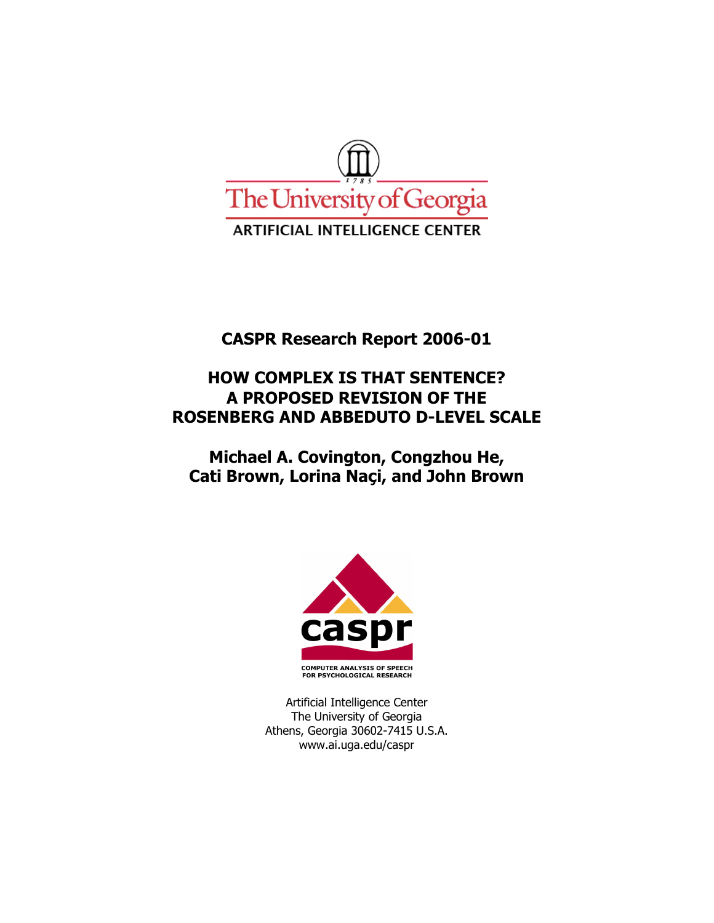

# **CASPR Research Report 2006-01**

# **HOW COMPLEX IS THAT SENTENCE? A PROPOSED REVISION OF THE ROSENBERG AND ABBEDUTO D-LEVEL SCALE**

**Michael A. Covington, Congzhou He, Cati Brown, Lorina Naçi, and John Brown** 



Artificial Intelligence Center The University of Georgia Athens, Georgia 30602-7415 U.S.A. www.ai.uga.edu/caspr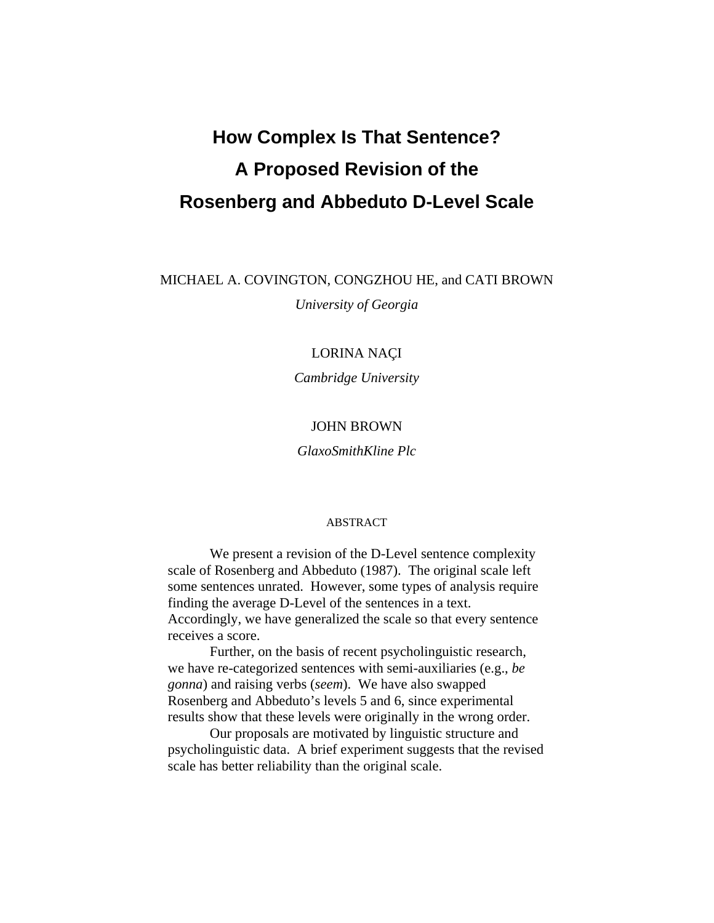# **How Complex Is That Sentence? A Proposed Revision of the Rosenberg and Abbeduto D-Level Scale**

MICHAEL A. COVINGTON, CONGZHOU HE, and CATI BROWN

*University of Georgia* 

## LORINA NAÇI

*Cambridge University* 

### JOHN BROWN

*GlaxoSmithKline Plc* 

#### ABSTRACT

We present a revision of the D-Level sentence complexity scale of Rosenberg and Abbeduto (1987). The original scale left some sentences unrated. However, some types of analysis require finding the average D-Level of the sentences in a text. Accordingly, we have generalized the scale so that every sentence receives a score.

Further, on the basis of recent psycholinguistic research, we have re-categorized sentences with semi-auxiliaries (e.g., *be gonna*) and raising verbs (*seem*). We have also swapped Rosenberg and Abbeduto's levels 5 and 6, since experimental results show that these levels were originally in the wrong order.

Our proposals are motivated by linguistic structure and psycholinguistic data. A brief experiment suggests that the revised scale has better reliability than the original scale.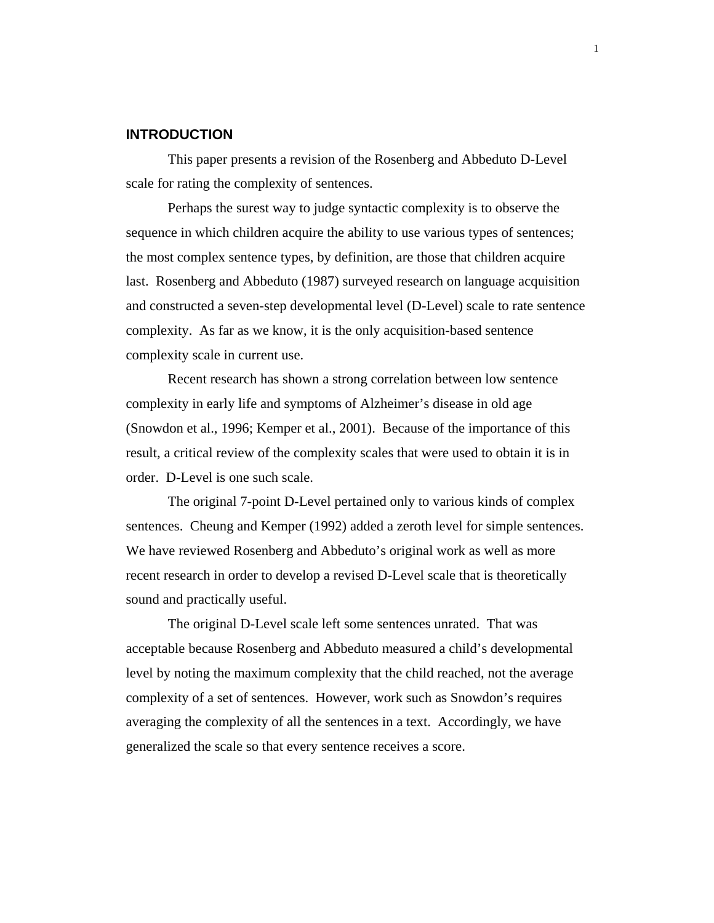# **INTRODUCTION**

This paper presents a revision of the Rosenberg and Abbeduto D-Level scale for rating the complexity of sentences.

Perhaps the surest way to judge syntactic complexity is to observe the sequence in which children acquire the ability to use various types of sentences; the most complex sentence types, by definition, are those that children acquire last. Rosenberg and Abbeduto (1987) surveyed research on language acquisition and constructed a seven-step developmental level (D-Level) scale to rate sentence complexity. As far as we know, it is the only acquisition-based sentence complexity scale in current use.

Recent research has shown a strong correlation between low sentence complexity in early life and symptoms of Alzheimer's disease in old age (Snowdon et al., 1996; Kemper et al., 2001). Because of the importance of this result, a critical review of the complexity scales that were used to obtain it is in order. D-Level is one such scale.

The original 7-point D-Level pertained only to various kinds of complex sentences. Cheung and Kemper (1992) added a zeroth level for simple sentences. We have reviewed Rosenberg and Abbeduto's original work as well as more recent research in order to develop a revised D-Level scale that is theoretically sound and practically useful.

The original D-Level scale left some sentences unrated. That was acceptable because Rosenberg and Abbeduto measured a child's developmental level by noting the maximum complexity that the child reached, not the average complexity of a set of sentences. However, work such as Snowdon's requires averaging the complexity of all the sentences in a text. Accordingly, we have generalized the scale so that every sentence receives a score.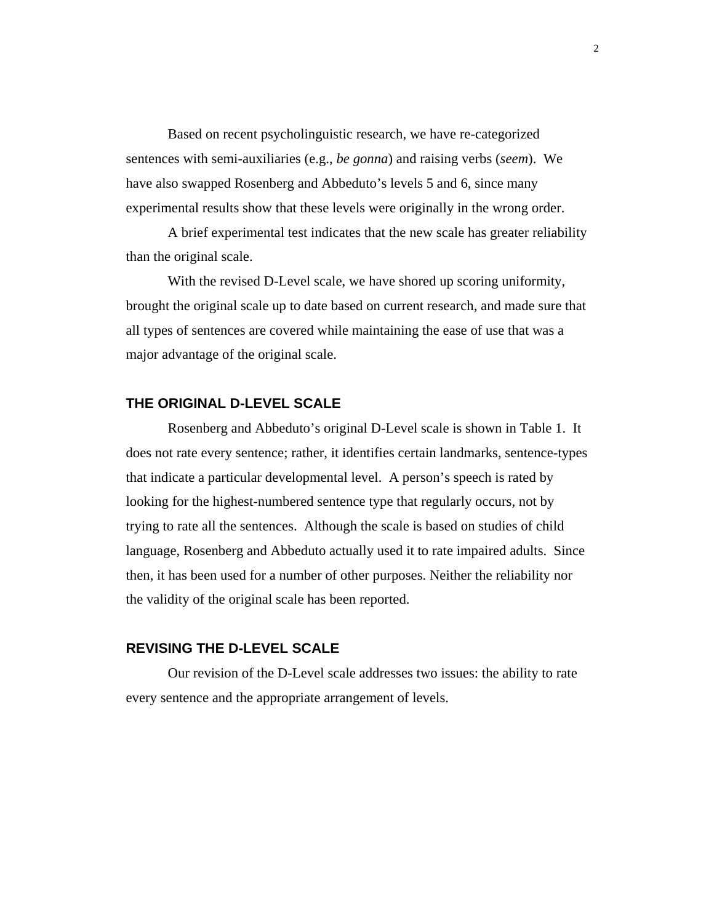Based on recent psycholinguistic research, we have re-categorized sentences with semi-auxiliaries (e.g., *be gonna*) and raising verbs (*seem*). We have also swapped Rosenberg and Abbeduto's levels 5 and 6, since many experimental results show that these levels were originally in the wrong order.

A brief experimental test indicates that the new scale has greater reliability than the original scale.

With the revised D-Level scale, we have shored up scoring uniformity, brought the original scale up to date based on current research, and made sure that all types of sentences are covered while maintaining the ease of use that was a major advantage of the original scale.

# **THE ORIGINAL D-LEVEL SCALE**

Rosenberg and Abbeduto's original D-Level scale is shown in Table 1. It does not rate every sentence; rather, it identifies certain landmarks, sentence-types that indicate a particular developmental level. A person's speech is rated by looking for the highest-numbered sentence type that regularly occurs, not by trying to rate all the sentences. Although the scale is based on studies of child language, Rosenberg and Abbeduto actually used it to rate impaired adults. Since then, it has been used for a number of other purposes. Neither the reliability nor the validity of the original scale has been reported.

## **REVISING THE D-LEVEL SCALE**

Our revision of the D-Level scale addresses two issues: the ability to rate every sentence and the appropriate arrangement of levels.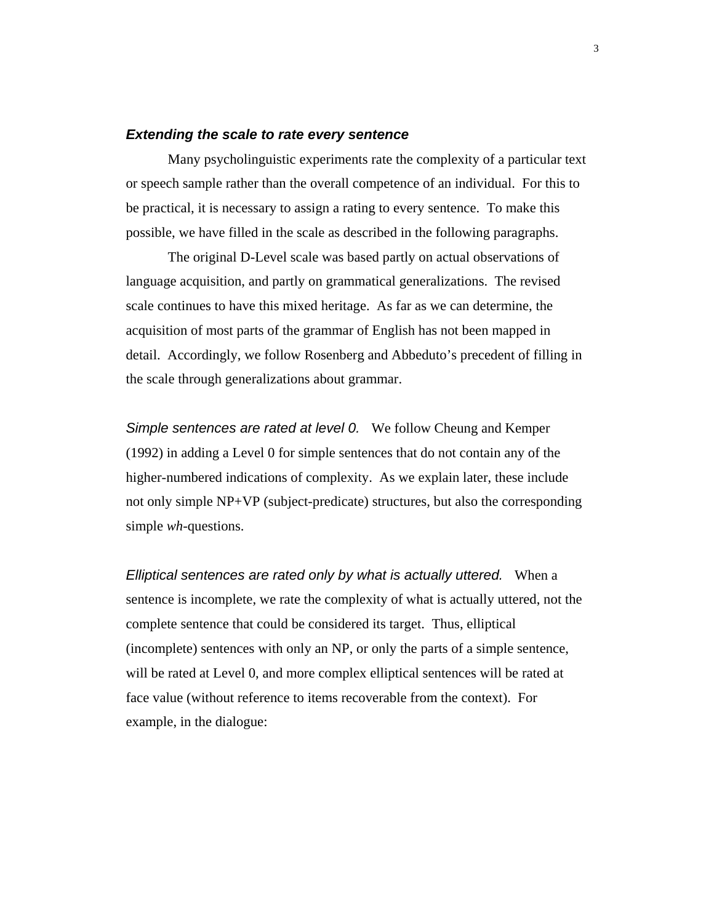#### *Extending the scale to rate every sentence*

 Many psycholinguistic experiments rate the complexity of a particular text or speech sample rather than the overall competence of an individual. For this to be practical, it is necessary to assign a rating to every sentence. To make this possible, we have filled in the scale as described in the following paragraphs.

 The original D-Level scale was based partly on actual observations of language acquisition, and partly on grammatical generalizations. The revised scale continues to have this mixed heritage. As far as we can determine, the acquisition of most parts of the grammar of English has not been mapped in detail. Accordingly, we follow Rosenberg and Abbeduto's precedent of filling in the scale through generalizations about grammar.

*Simple sentences are rated at level 0.* We follow Cheung and Kemper (1992) in adding a Level 0 for simple sentences that do not contain any of the higher-numbered indications of complexity. As we explain later, these include not only simple NP+VP (subject-predicate) structures, but also the corresponding simple *wh*-questions.

*Elliptical sentences are rated only by what is actually uttered.* When a sentence is incomplete, we rate the complexity of what is actually uttered, not the complete sentence that could be considered its target. Thus, elliptical (incomplete) sentences with only an NP, or only the parts of a simple sentence, will be rated at Level 0, and more complex elliptical sentences will be rated at face value (without reference to items recoverable from the context). For example, in the dialogue: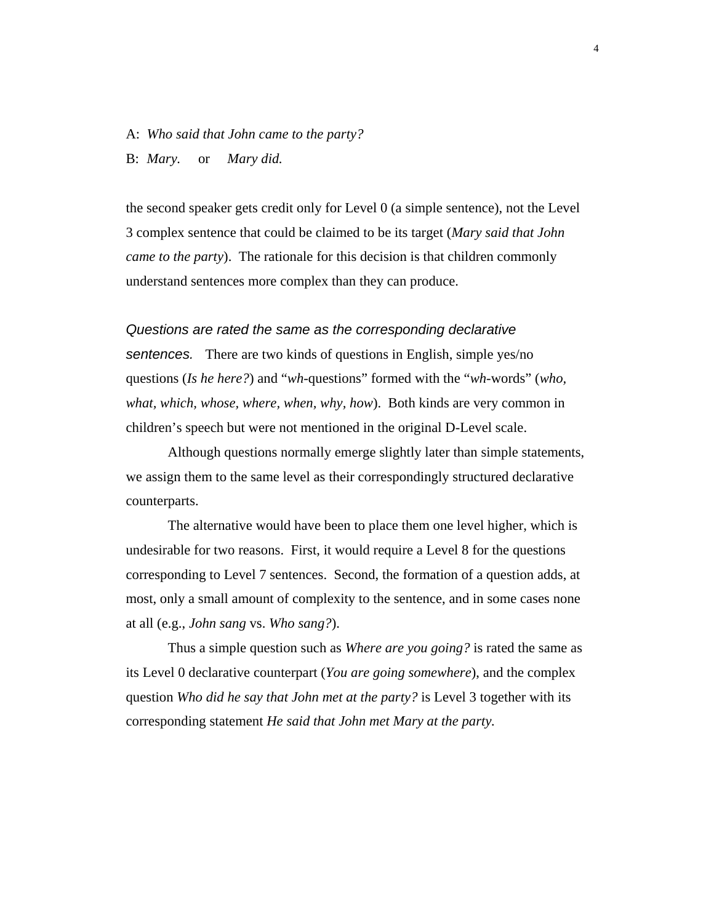#### A: *Who said that John came to the party?*

B: *Mary.* or *Mary did.*

the second speaker gets credit only for Level 0 (a simple sentence), not the Level 3 complex sentence that could be claimed to be its target (*Mary said that John came to the party*). The rationale for this decision is that children commonly understand sentences more complex than they can produce.

*Questions are rated the same as the corresponding declarative sentences.* There are two kinds of questions in English, simple yes/no questions (*Is he here?*) and "*wh*-questions" formed with the "*wh*-words" (*who, what, which, whose, where, when, why, how*). Both kinds are very common in children's speech but were not mentioned in the original D-Level scale.

Although questions normally emerge slightly later than simple statements, we assign them to the same level as their correspondingly structured declarative counterparts.

The alternative would have been to place them one level higher, which is undesirable for two reasons. First, it would require a Level 8 for the questions corresponding to Level 7 sentences. Second, the formation of a question adds, at most, only a small amount of complexity to the sentence, and in some cases none at all (e.g., *John sang* vs. *Who sang?*).

Thus a simple question such as *Where are you going?* is rated the same as its Level 0 declarative counterpart (*You are going somewhere*), and the complex question *Who did he say that John met at the party?* is Level 3 together with its corresponding statement *He said that John met Mary at the party.*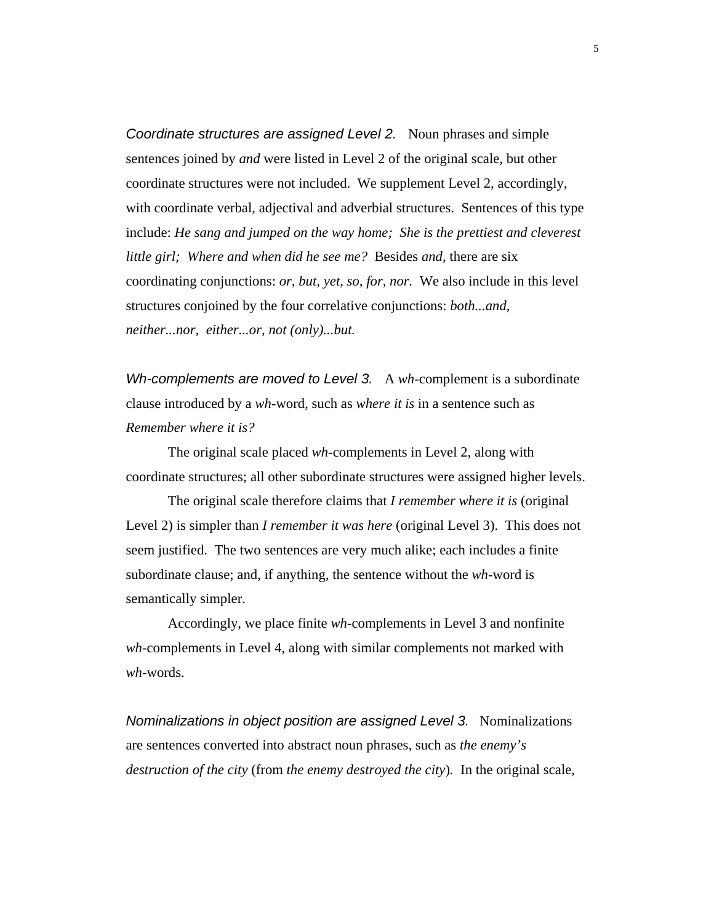*Coordinate structures are assigned Level 2.* Noun phrases and simple sentences joined by *and* were listed in Level 2 of the original scale, but other coordinate structures were not included. We supplement Level 2, accordingly, with coordinate verbal, adjectival and adverbial structures. Sentences of this type include: *He sang and jumped on the way home; She is the prettiest and cleverest little girl; Where and when did he see me?* Besides *and*, there are six coordinating conjunctions: *or, but, yet, so, for, nor.* We also include in this level structures conjoined by the four correlative conjunctions: *both...and, neither...nor, either...or, not (only)...but.*

*Wh-complements are moved to Level 3.* A *wh*-complement is a subordinate clause introduced by a *wh-*word, such as *where it is* in a sentence such as *Remember where it is?* 

The original scale placed *wh*-complements in Level 2, along with coordinate structures; all other subordinate structures were assigned higher levels.

The original scale therefore claims that *I remember where it is* (original Level 2) is simpler than *I remember it was here* (original Level 3). This does not seem justified. The two sentences are very much alike; each includes a finite subordinate clause; and, if anything, the sentence without the *wh*-word is semantically simpler.

Accordingly, we place finite *wh*-complements in Level 3 and nonfinite *wh*-complements in Level 4, along with similar complements not marked with *wh*-words.

*Nominalizations in object position are assigned Level 3.* Nominalizations are sentences converted into abstract noun phrases, such as *the enemy's destruction of the city* (from *the enemy destroyed the city*)*.* In the original scale,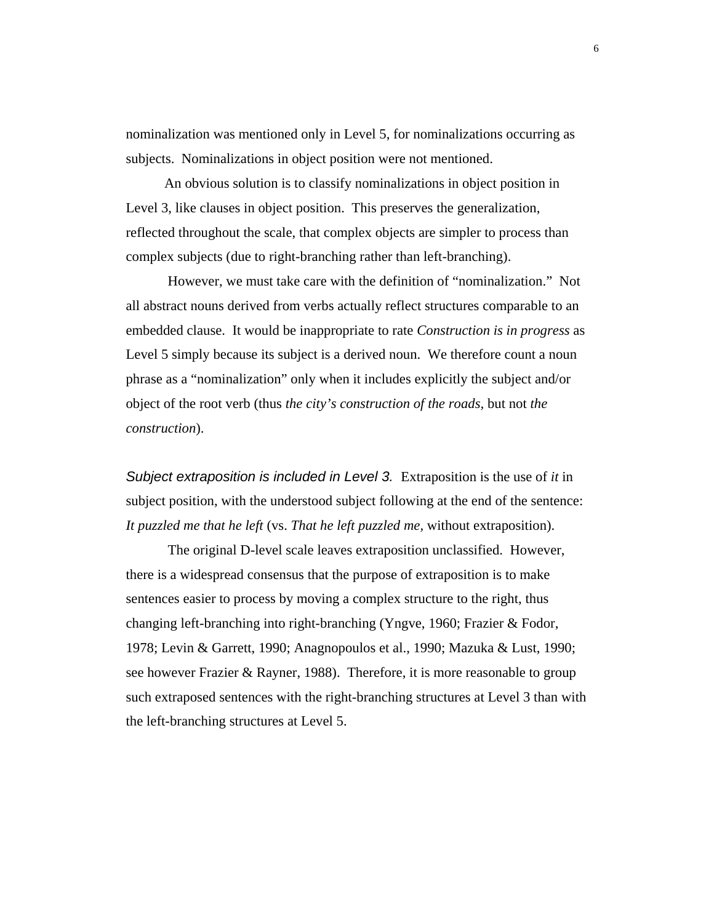nominalization was mentioned only in Level 5, for nominalizations occurring as subjects. Nominalizations in object position were not mentioned.

 An obvious solution is to classify nominalizations in object position in Level 3, like clauses in object position. This preserves the generalization, reflected throughout the scale, that complex objects are simpler to process than complex subjects (due to right-branching rather than left-branching).

However, we must take care with the definition of "nominalization." Not all abstract nouns derived from verbs actually reflect structures comparable to an embedded clause. It would be inappropriate to rate *Construction is in progress* as Level 5 simply because its subject is a derived noun. We therefore count a noun phrase as a "nominalization" only when it includes explicitly the subject and/or object of the root verb (thus *the city's construction of the roads,* but not *the construction*).

*Subject extraposition is included in Level 3.* Extraposition is the use of *it* in subject position, with the understood subject following at the end of the sentence: *It puzzled me that he left* (vs. *That he left puzzled me,* without extraposition).

The original D-level scale leaves extraposition unclassified. However, there is a widespread consensus that the purpose of extraposition is to make sentences easier to process by moving a complex structure to the right, thus changing left-branching into right-branching (Yngve, 1960; Frazier & Fodor, 1978; Levin & Garrett, 1990; Anagnopoulos et al., 1990; Mazuka & Lust, 1990; see however Frazier & Rayner, 1988). Therefore, it is more reasonable to group such extraposed sentences with the right-branching structures at Level 3 than with the left-branching structures at Level 5.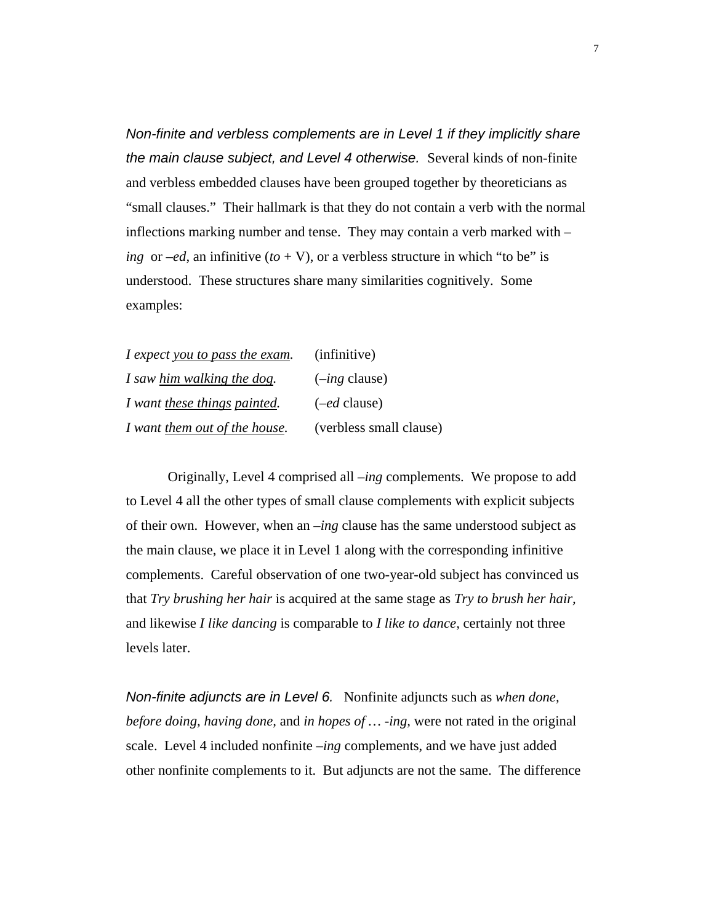*Non-finite and verbless complements are in Level 1 if they implicitly share the main clause subject, and Level 4 otherwise.* Several kinds of non-finite and verbless embedded clauses have been grouped together by theoreticians as "small clauses." Their hallmark is that they do not contain a verb with the normal inflections marking number and tense. They may contain a verb marked with *– ing* or  $-ed$ , an infinitive  $(to + V)$ , or a verbless structure in which "to be" is understood. These structures share many similarities cognitively. Some examples:

| I expect you to pass the exam. | (infinitive)            |
|--------------------------------|-------------------------|
| I saw him walking the dog.     | $(-ing$ clause)         |
| I want these things painted.   | $(-ed$ clause)          |
| I want them out of the house.  | (verbless small clause) |

Originally, Level 4 comprised all –*ing* complements. We propose to add to Level 4 all the other types of small clause complements with explicit subjects of their own. However, when an –*ing* clause has the same understood subject as the main clause, we place it in Level 1 along with the corresponding infinitive complements. Careful observation of one two-year-old subject has convinced us that *Try brushing her hair* is acquired at the same stage as *Try to brush her hair,*  and likewise *I like dancing* is comparable to *I like to dance,* certainly not three levels later.

*Non-finite adjuncts are in Level 6.* Nonfinite adjuncts such as *when done, before doing, having done,* and *in hopes of … -ing,* were not rated in the original scale. Level 4 included nonfinite *–ing* complements, and we have just added other nonfinite complements to it. But adjuncts are not the same. The difference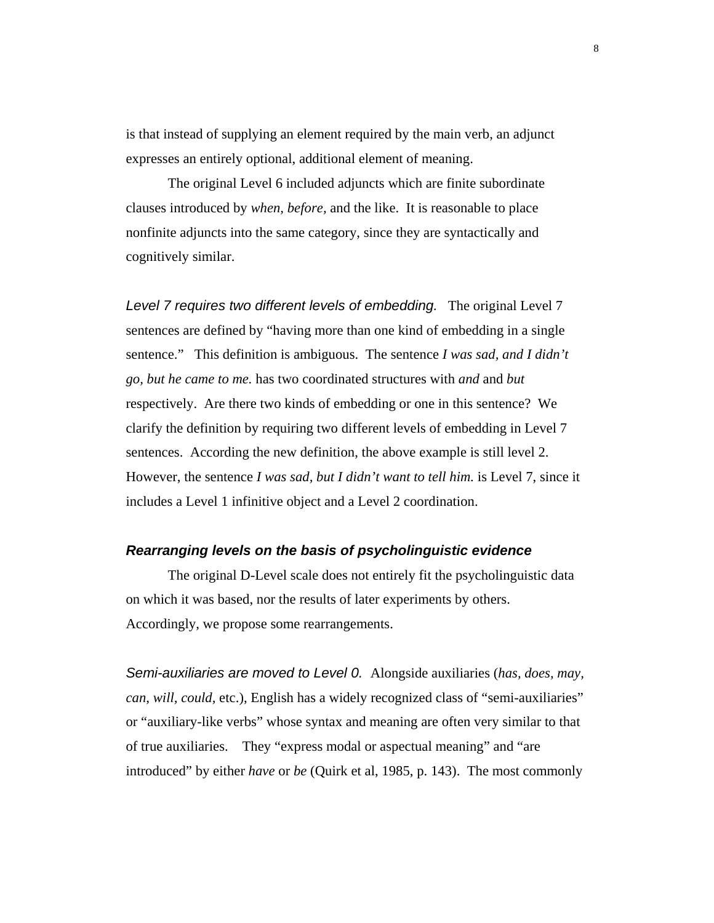is that instead of supplying an element required by the main verb, an adjunct expresses an entirely optional, additional element of meaning.

 The original Level 6 included adjuncts which are finite subordinate clauses introduced by *when, before,* and the like. It is reasonable to place nonfinite adjuncts into the same category, since they are syntactically and cognitively similar.

*Level 7 requires two different levels of embedding.* The original Level 7 sentences are defined by "having more than one kind of embedding in a single sentence." This definition is ambiguous. The sentence *I was sad, and I didn't go, but he came to me.* has two coordinated structures with *and* and *but* respectively. Are there two kinds of embedding or one in this sentence? We clarify the definition by requiring two different levels of embedding in Level 7 sentences. According the new definition, the above example is still level 2. However, the sentence *I was sad, but I didn't want to tell him.* is Level 7, since it includes a Level 1 infinitive object and a Level 2 coordination.

#### *Rearranging levels on the basis of psycholinguistic evidence*

The original D-Level scale does not entirely fit the psycholinguistic data on which it was based, nor the results of later experiments by others. Accordingly, we propose some rearrangements.

*Semi-auxiliaries are moved to Level 0.* Alongside auxiliaries (*has, does, may, can, will, could, etc.), English has a widely recognized class of "semi-auxiliaries"* or "auxiliary-like verbs" whose syntax and meaning are often very similar to that of true auxiliaries. They "express modal or aspectual meaning" and "are introduced" by either *have* or *be* (Quirk et al, 1985, p. 143). The most commonly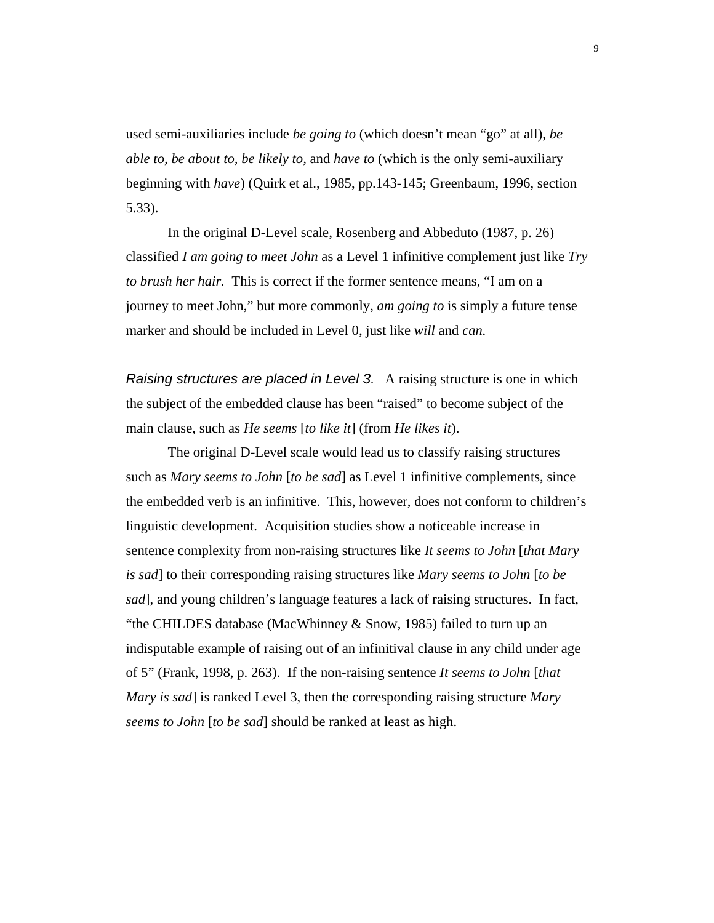used semi-auxiliaries include *be going to* (which doesn't mean "go" at all), *be able to, be about to, be likely to,* and *have to* (which is the only semi-auxiliary beginning with *have*) (Quirk et al., 1985, pp.143-145; Greenbaum, 1996, section 5.33).

 In the original D-Level scale, Rosenberg and Abbeduto (1987, p. 26) classified *I am going to meet John* as a Level 1 infinitive complement just like *Try to brush her hair.* This is correct if the former sentence means, "I am on a journey to meet John," but more commonly, *am going to* is simply a future tense marker and should be included in Level 0, just like *will* and *can.*

*Raising structures are placed in Level 3.* A raising structure is one in which the subject of the embedded clause has been "raised" to become subject of the main clause, such as *He seems* [*to like it*] (from *He likes it*).

The original D-Level scale would lead us to classify raising structures such as *Mary seems to John* [*to be sad*] as Level 1 infinitive complements, since the embedded verb is an infinitive. This, however, does not conform to children's linguistic development. Acquisition studies show a noticeable increase in sentence complexity from non-raising structures like *It seems to John* [*that Mary is sad*] to their corresponding raising structures like *Mary seems to John* [*to be sad*], and young children's language features a lack of raising structures. In fact, "the CHILDES database (MacWhinney & Snow, 1985) failed to turn up an indisputable example of raising out of an infinitival clause in any child under age of 5" (Frank, 1998, p. 263). If the non-raising sentence *It seems to John* [*that Mary is sad*] is ranked Level 3, then the corresponding raising structure *Mary seems to John* [*to be sad*] should be ranked at least as high.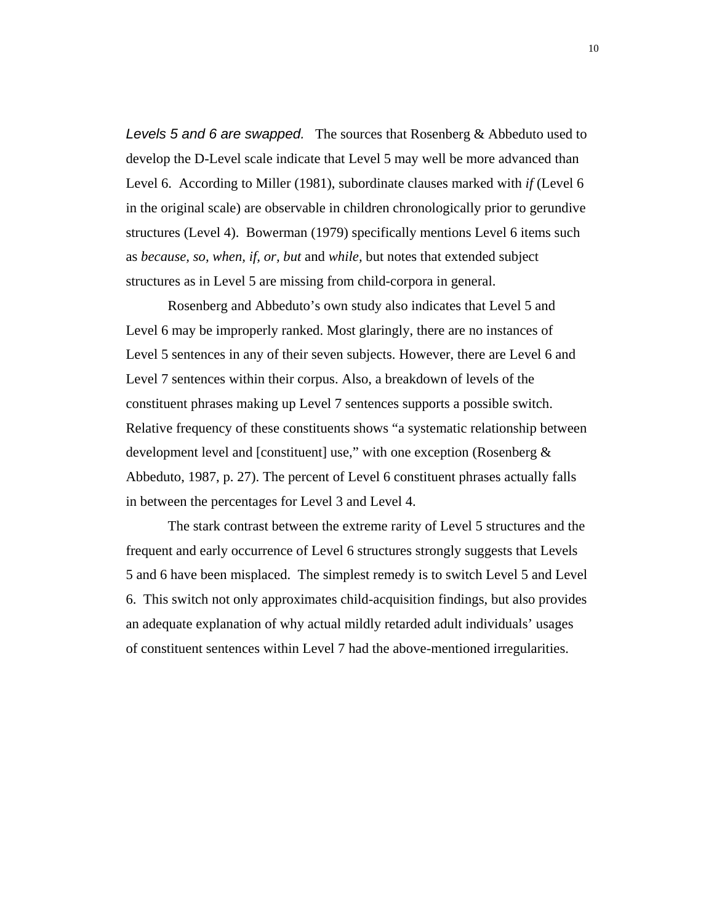*Levels 5 and 6 are swapped.* The sources that Rosenberg & Abbeduto used to develop the D-Level scale indicate that Level 5 may well be more advanced than Level 6. According to Miller (1981), subordinate clauses marked with *if* (Level 6 in the original scale) are observable in children chronologically prior to gerundive structures (Level 4). Bowerman (1979) specifically mentions Level 6 items such as *because, so, when, if, or, but* and *while,* but notes that extended subject structures as in Level 5 are missing from child-corpora in general.

Rosenberg and Abbeduto's own study also indicates that Level 5 and Level 6 may be improperly ranked. Most glaringly, there are no instances of Level 5 sentences in any of their seven subjects. However, there are Level 6 and Level 7 sentences within their corpus. Also, a breakdown of levels of the constituent phrases making up Level 7 sentences supports a possible switch. Relative frequency of these constituents shows "a systematic relationship between development level and [constituent] use," with one exception (Rosenberg & Abbeduto, 1987, p. 27). The percent of Level 6 constituent phrases actually falls in between the percentages for Level 3 and Level 4.

The stark contrast between the extreme rarity of Level 5 structures and the frequent and early occurrence of Level 6 structures strongly suggests that Levels 5 and 6 have been misplaced. The simplest remedy is to switch Level 5 and Level 6. This switch not only approximates child-acquisition findings, but also provides an adequate explanation of why actual mildly retarded adult individuals' usages of constituent sentences within Level 7 had the above-mentioned irregularities.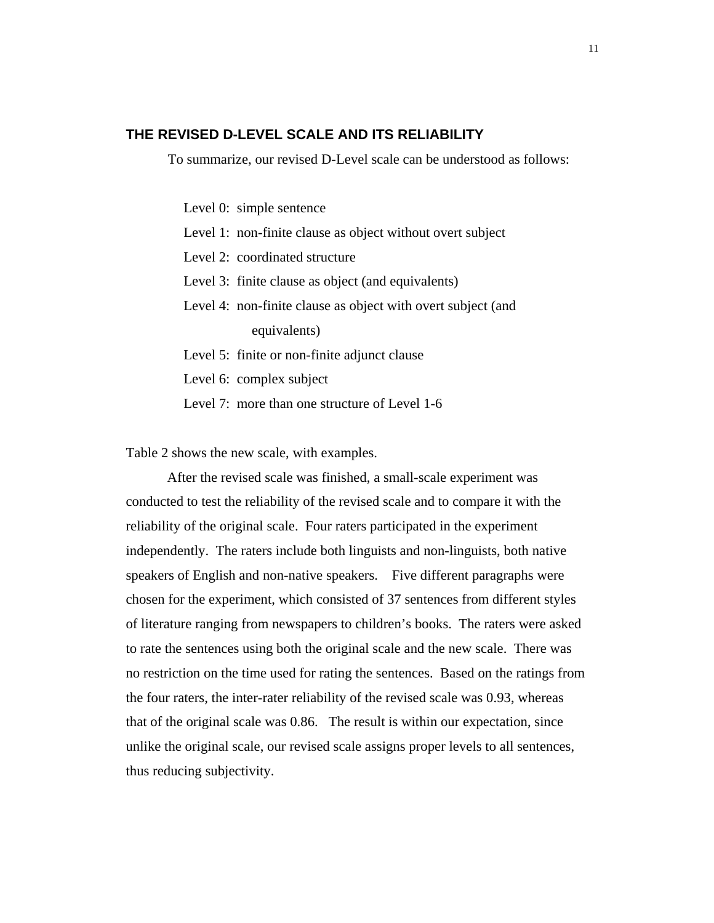# **THE REVISED D-LEVEL SCALE AND ITS RELIABILITY**

To summarize, our revised D-Level scale can be understood as follows:

Level 0: simple sentence

Level 1: non-finite clause as object without overt subject

Level 2: coordinated structure

Level 3: finite clause as object (and equivalents)

Level 4: non-finite clause as object with overt subject (and equivalents)

Level 5: finite or non-finite adjunct clause

Level 6: complex subject

Level 7: more than one structure of Level 1-6

Table 2 shows the new scale, with examples.

After the revised scale was finished, a small-scale experiment was conducted to test the reliability of the revised scale and to compare it with the reliability of the original scale. Four raters participated in the experiment independently. The raters include both linguists and non-linguists, both native speakers of English and non-native speakers. Five different paragraphs were chosen for the experiment, which consisted of 37 sentences from different styles of literature ranging from newspapers to children's books. The raters were asked to rate the sentences using both the original scale and the new scale. There was no restriction on the time used for rating the sentences. Based on the ratings from the four raters, the inter-rater reliability of the revised scale was 0.93, whereas that of the original scale was 0.86. The result is within our expectation, since unlike the original scale, our revised scale assigns proper levels to all sentences, thus reducing subjectivity.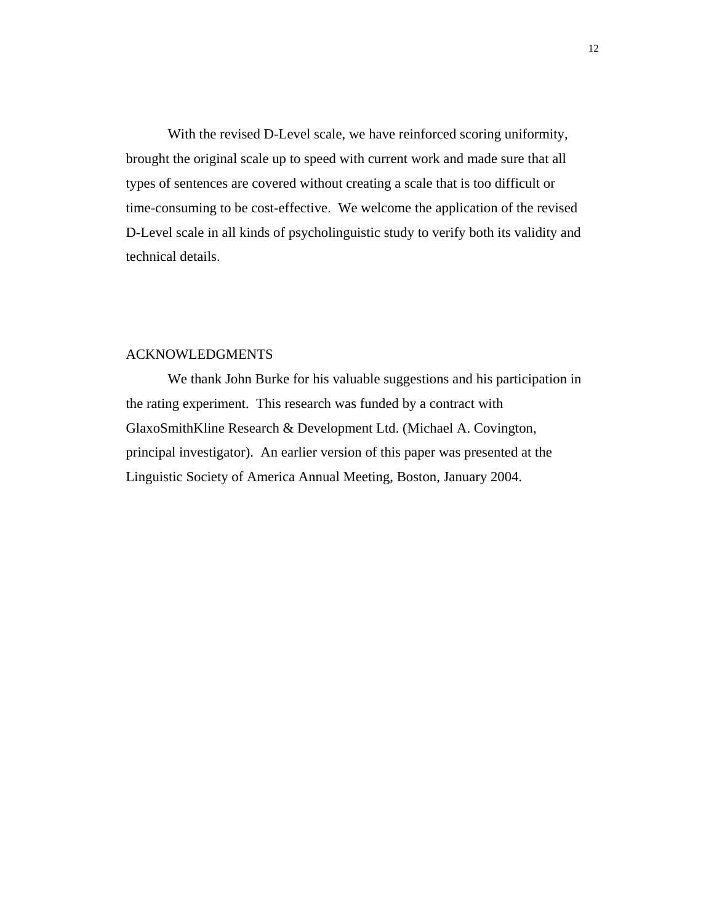With the revised D-Level scale, we have reinforced scoring uniformity, brought the original scale up to speed with current work and made sure that all types of sentences are covered without creating a scale that is too difficult or time-consuming to be cost-effective. We welcome the application of the revised D-Level scale in all kinds of psycholinguistic study to verify both its validity and technical details.

# ACKNOWLEDGMENTS

We thank John Burke for his valuable suggestions and his participation in the rating experiment. This research was funded by a contract with GlaxoSmithKline Research & Development Ltd. (Michael A. Covington, principal investigator). An earlier version of this paper was presented at the Linguistic Society of America Annual Meeting, Boston, January 2004.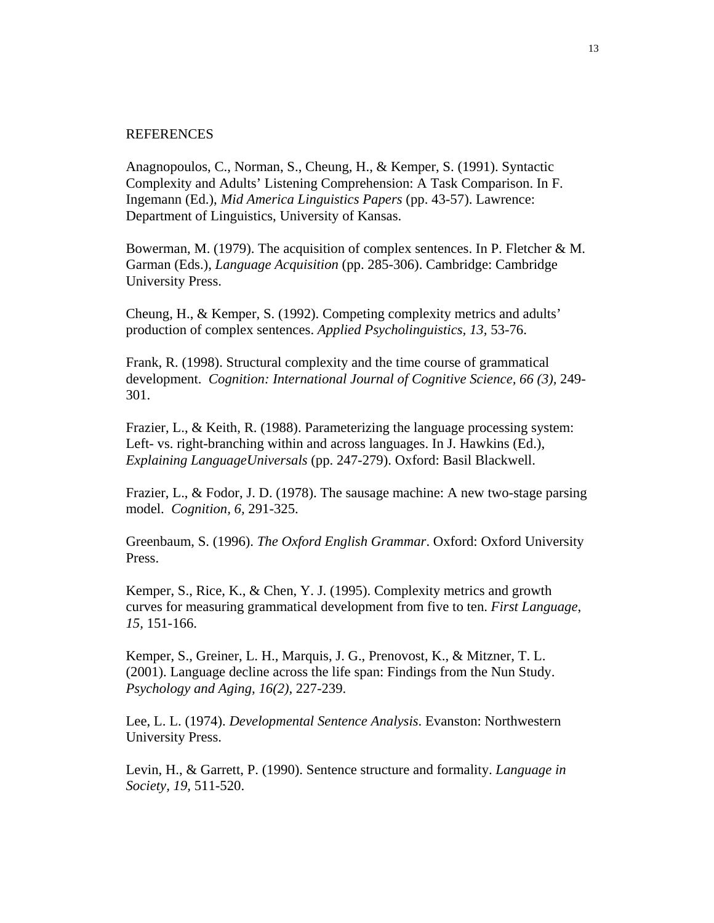#### REFERENCES

Anagnopoulos, C., Norman, S., Cheung, H., & Kemper, S. (1991). Syntactic Complexity and Adults' Listening Comprehension: A Task Comparison. In F. Ingemann (Ed.), *Mid America Linguistics Papers* (pp. 43-57). Lawrence: Department of Linguistics, University of Kansas.

Bowerman, M. (1979). The acquisition of complex sentences. In P. Fletcher & M. Garman (Eds.), *Language Acquisition* (pp. 285-306). Cambridge: Cambridge University Press.

Cheung, H., & Kemper, S. (1992). Competing complexity metrics and adults' production of complex sentences. *Applied Psycholinguistics, 13,* 53-76.

Frank, R. (1998). Structural complexity and the time course of grammatical development. *Cognition: International Journal of Cognitive Science, 66 (3),* 249- 301.

Frazier, L., & Keith, R. (1988). Parameterizing the language processing system: Left- vs. right-branching within and across languages. In J. Hawkins (Ed.), *Explaining LanguageUniversals* (pp. 247-279). Oxford: Basil Blackwell.

Frazier, L., & Fodor, J. D. (1978). The sausage machine: A new two-stage parsing model. *Cognition, 6,* 291-325.

Greenbaum, S. (1996). *The Oxford English Grammar*. Oxford: Oxford University Press.

Kemper, S., Rice, K., & Chen, Y. J. (1995). Complexity metrics and growth curves for measuring grammatical development from five to ten. *First Language*, *15,* 151-166.

Kemper, S., Greiner, L. H., Marquis, J. G., Prenovost, K., & Mitzner, T. L. (2001). Language decline across the life span: Findings from the Nun Study. *Psychology and Aging, 16(2),* 227-239.

Lee, L. L. (1974). *Developmental Sentence Analysis*. Evanston: Northwestern University Press.

Levin, H., & Garrett, P. (1990). Sentence structure and formality. *Language in Society, 19,* 511-520.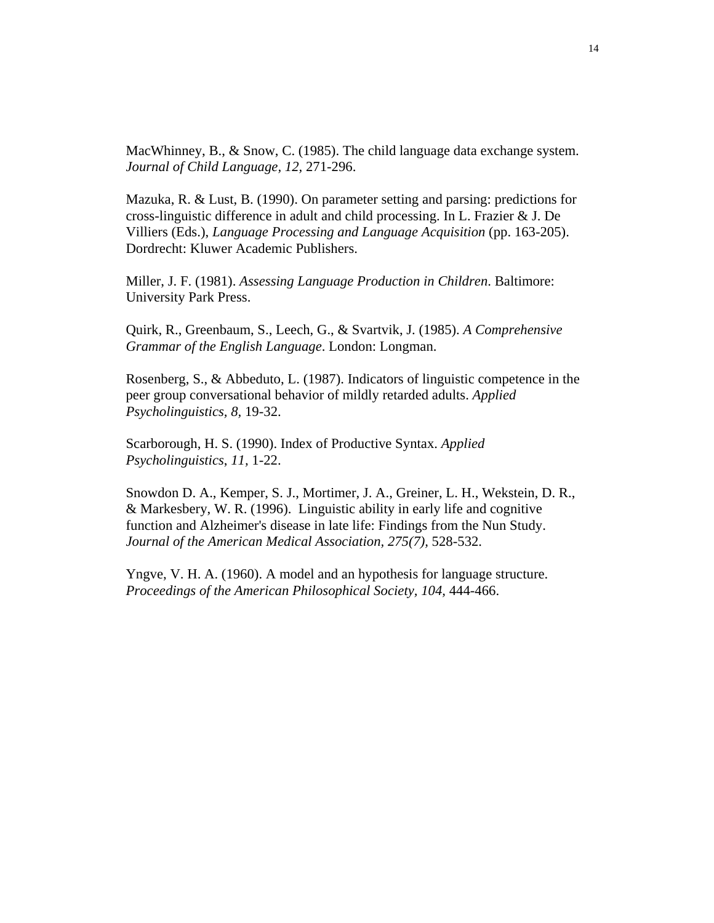MacWhinney, B., & Snow, C. (1985). The child language data exchange system. *Journal of Child Language, 12,* 271-296.

Mazuka, R. & Lust, B. (1990). On parameter setting and parsing: predictions for cross-linguistic difference in adult and child processing. In L. Frazier & J. De Villiers (Eds.), *Language Processing and Language Acquisition* (pp. 163-205). Dordrecht: Kluwer Academic Publishers.

Miller, J. F. (1981). *Assessing Language Production in Children*. Baltimore: University Park Press.

Quirk, R., Greenbaum, S., Leech, G., & Svartvik, J. (1985). *A Comprehensive Grammar of the English Language*. London: Longman.

Rosenberg, S., & Abbeduto, L. (1987). Indicators of linguistic competence in the peer group conversational behavior of mildly retarded adults. *Applied Psycholinguistics, 8,* 19-32.

Scarborough, H. S. (1990). Index of Productive Syntax. *Applied Psycholinguistics*, *11,* 1-22.

Snowdon D. A., Kemper, S. J., Mortimer, J. A., Greiner, L. H., Wekstein, D. R., & Markesbery, W. R. (1996). Linguistic ability in early life and cognitive function and Alzheimer's disease in late life: Findings from the Nun Study. *Journal of the American Medical Association, 275(7),* 528-532.

Yngve, V. H. A. (1960). A model and an hypothesis for language structure. *Proceedings of the American Philosophical Society, 104,* 444-466.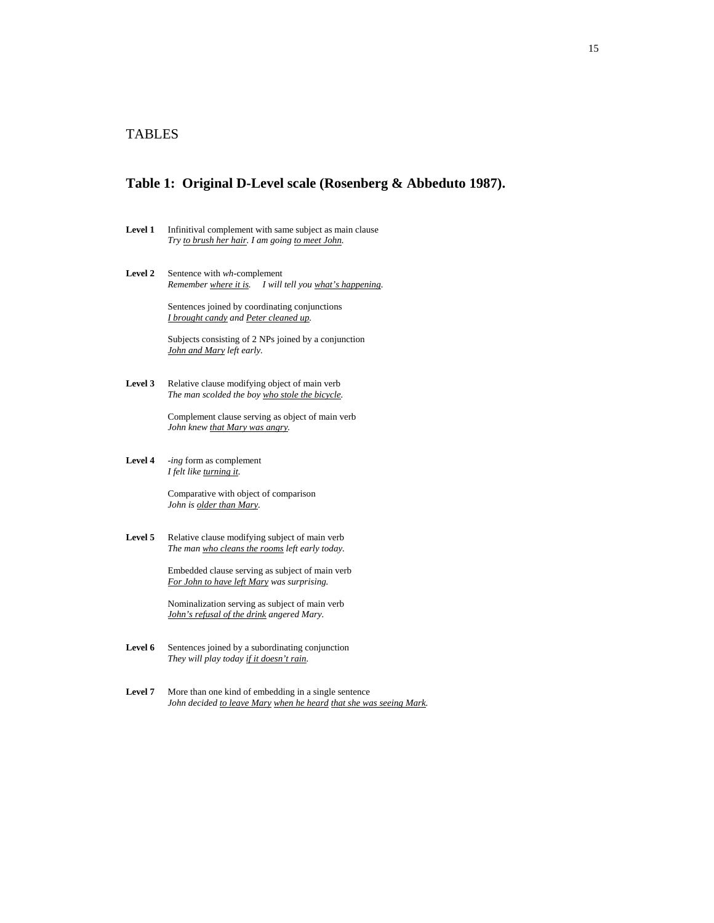# TABLES

#### **Table 1: Original D-Level scale (Rosenberg & Abbeduto 1987).**

- Level 1 Infinitival complement with same subject as main clause *Try to brush her hair. I am going to meet John.*
- **Level 2** Sentence with *wh*-complement *Remember where it is. I will tell you what's happening.*

Sentences joined by coordinating conjunctions *I brought candy and Peter cleaned up.* 

Subjects consisting of 2 NPs joined by a conjunction *John and Mary left early.* 

Level 3 Relative clause modifying object of main verb *The man scolded the boy who stole the bicycle.*

> Complement clause serving as object of main verb *John knew that Mary was angry.*

**Level 4** *-ing* form as complement *I felt like turning it.*

> Comparative with object of comparison *John is older than Mary.*

Level 5 Relative clause modifying subject of main verb *The man who cleans the rooms left early today.*

> Embedded clause serving as subject of main verb *For John to have left Mary was surprising.*

 Nominalization serving as subject of main verb *John's refusal of the drink angered Mary.* 

- Level 6 Sentences joined by a subordinating conjunction *They will play today if it doesn't rain.*
- Level 7 More than one kind of embedding in a single sentence *John decided to leave Mary when he heard that she was seeing Mark.*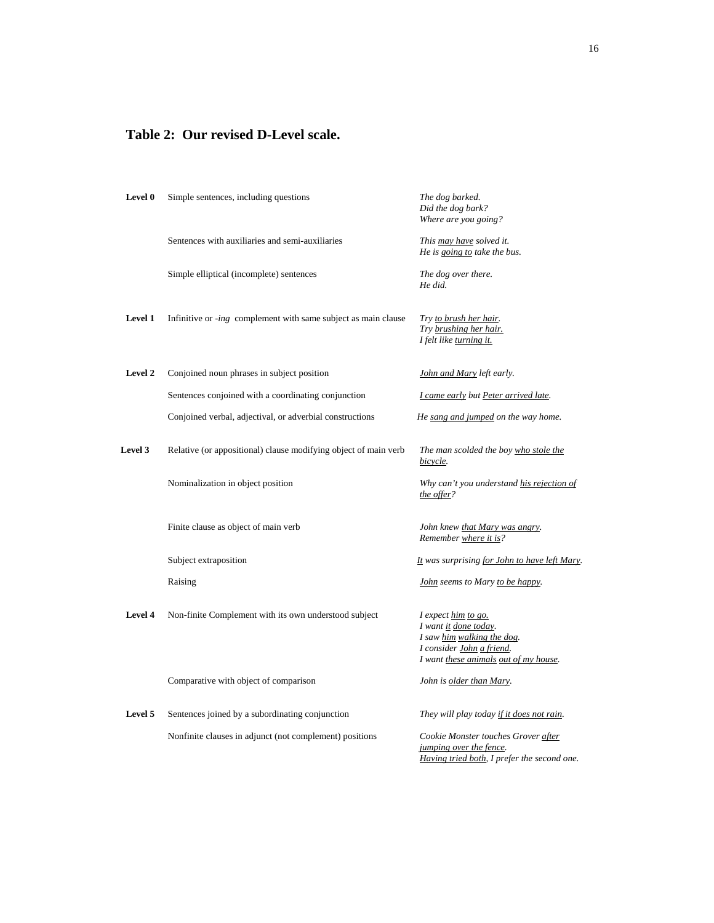# **Table 2: Our revised D-Level scale.**

| Level 0        | Simple sentences, including questions                                 | The dog barked.<br>Did the dog bark?<br>Where are you going?                                                                                     |
|----------------|-----------------------------------------------------------------------|--------------------------------------------------------------------------------------------------------------------------------------------------|
|                | Sentences with auxiliaries and semi-auxiliaries                       | This may have solved it.<br>He is going to take the bus.                                                                                         |
|                | Simple elliptical (incomplete) sentences                              | The dog over there.<br>He did.                                                                                                                   |
| Level 1        | Infinitive or <i>-ing</i> complement with same subject as main clause | Try to brush her hair.<br>Try brushing her hair.<br>I felt like turning it.                                                                      |
| Level 2        | Conjoined noun phrases in subject position                            | <b>John and Mary left early.</b>                                                                                                                 |
|                | Sentences conjoined with a coordinating conjunction                   | I came early but Peter arrived late.                                                                                                             |
|                | Conjoined verbal, adjectival, or adverbial constructions              | He sang and jumped on the way home.                                                                                                              |
| <b>Level 3</b> | Relative (or appositional) clause modifying object of main verb       | The man scolded the boy who stole the<br>bicycle.                                                                                                |
|                | Nominalization in object position                                     | Why can't you understand his rejection of<br>the offer?                                                                                          |
|                | Finite clause as object of main verb                                  | John knew <u>that Mary was angry</u> .<br>Remember where it is?                                                                                  |
|                | Subject extraposition                                                 | It was surprising for John to have left Mary.                                                                                                    |
|                | Raising                                                               | <b>John</b> seems to Mary to be happy.                                                                                                           |
| Level 4        | Non-finite Complement with its own understood subject                 | I expect him to go.<br>I want it done today.<br>I saw him walking the dog.<br>I consider John a friend.<br>I want these animals out of my house. |
|                | Comparative with object of comparison                                 | John is older than Mary.                                                                                                                         |
| Level 5        | Sentences joined by a subordinating conjunction                       | They will play today if it does not rain.                                                                                                        |
|                | Nonfinite clauses in adjunct (not complement) positions               | Cookie Monster touches Grover after<br>jumping over the fence.<br>Having tried both, I prefer the second one.                                    |